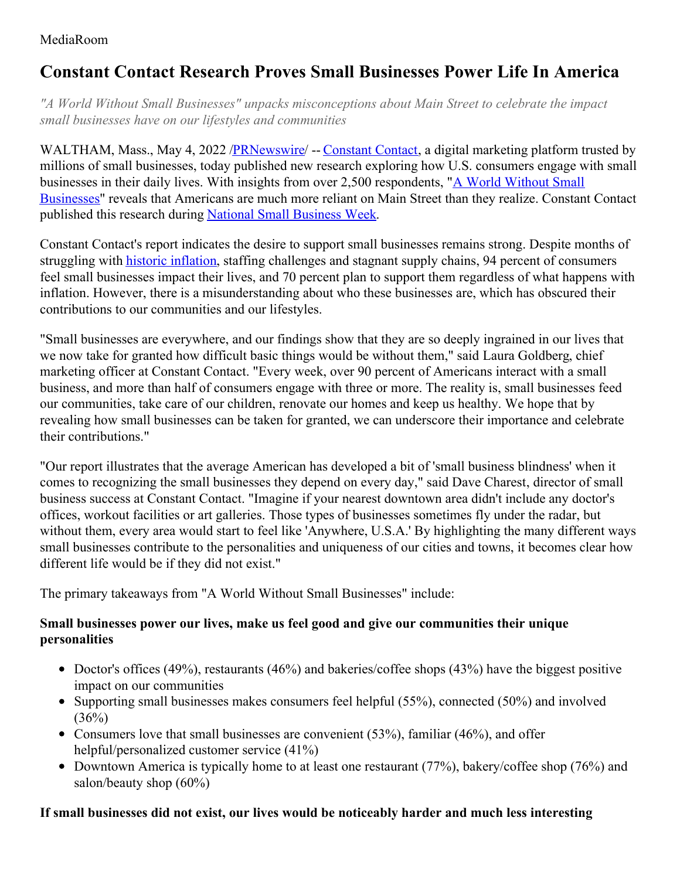### MediaRoom

# **Constant Contact Research Proves Small Businesses Power Life In America**

*"A World Without Small Businesses" unpacks misconceptions about Main Street to celebrate the impact small businesses have on our lifestyles and communities*

WALTHAM, Mass., May 4, 2022 /**PRNewswire/** -- [Constant](https://www.constantcontact.com/?utm_source=pr&utm_medium=pressrelease&utm_campaign=pr_nsbw22_wwosb) Contact, a digital marketing platform trusted by millions of small businesses, today published new research exploring how U.S. consumers engage with small businesses in their daily lives. With insights from over 2,500 [respondents,](https://www.constantcontact.com/blog/a-world-without-small-businesses/?utm_source=pr&utm_medium=pressrelease&utm_campaign=pr_nsbw22_wwosb) "A World Without Small Businesses" reveals that Americans are much more reliant on Main Street than they realize. Constant Contact published this research during National Small [Business](https://www.sba.gov/national-small-business-week) Week.

Constant Contact's report indicates the desire to support small businesses remains strong. Despite months of struggling with historic [inflation](https://www.bls.gov/news.release/pdf/cpi.pdf), staffing challenges and stagnant supply chains, 94 percent of consumers feel small businesses impact their lives, and 70 percent plan to support them regardless of what happens with inflation. However, there is a misunderstanding about who these businesses are, which has obscured their contributions to our communities and our lifestyles.

"Small businesses are everywhere, and our findings show that they are so deeply ingrained in our lives that we now take for granted how difficult basic things would be without them," said Laura Goldberg, chief marketing officer at Constant Contact. "Every week, over 90 percent of Americans interact with a small business, and more than half of consumers engage with three or more. The reality is, small businesses feed our communities, take care of our children, renovate our homes and keep us healthy. We hope that by revealing how small businesses can be taken for granted, we can underscore their importance and celebrate their contributions."

"Our report illustrates that the average American has developed a bit of 'small business blindness' when it comes to recognizing the small businesses they depend on every day," said Dave Charest, director of small business success at Constant Contact. "Imagine if your nearest downtown area didn't include any doctor's offices, workout facilities or art galleries. Those types of businesses sometimes fly under the radar, but without them, every area would start to feel like 'Anywhere, U.S.A.' By highlighting the many different ways small businesses contribute to the personalities and uniqueness of our cities and towns, it becomes clear how different life would be if they did not exist."

The primary takeaways from "A World Without Small Businesses" include:

#### **Small businesses power our lives, make us feel good and give our communities their unique personalities**

- Doctor's offices (49%), restaurants (46%) and bakeries/coffee shops (43%) have the biggest positive impact on our communities
- Supporting small businesses makes consumers feel helpful  $(55\%)$ , connected  $(50\%)$  and involved  $(36%)$
- Consumers love that small businesses are convenient  $(53\%)$ , familiar  $(46\%)$ , and offer helpful/personalized customer service (41%)
- Downtown America is typically home to at least one restaurant  $(77%)$ , bakery/coffee shop  $(76%)$  and salon/beauty shop (60%)

### **If small businesses did not exist, our lives would be noticeably harder and much less interesting**